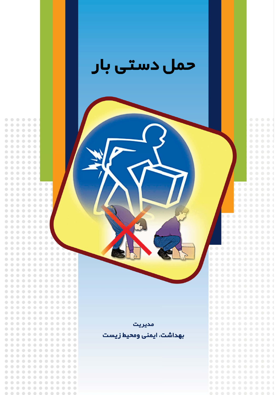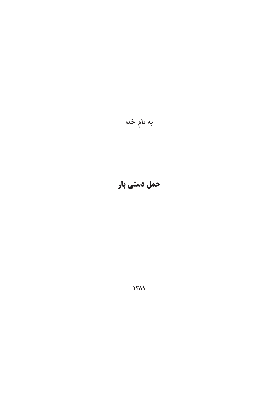به نام خدا

حمل دستي بار

 **1389**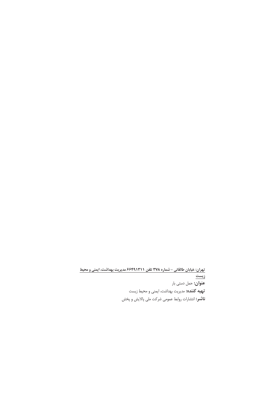تهران: خیابان طالقانی – شماره ۳۷۸ تلفن ۶۶۴۹۱۳۱۱ مدیریت بهداشت، ایمنی و محیط <u>زيست</u> **عنوان:** حمل دستی بار **تهیه کننده:** مدیریت بهداشت، ایمنی و محیط زیست **ناشر:** انتشارات روابط عمومی شرکت ملی پالایش و پخش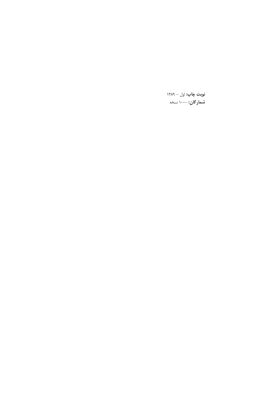**نوبت چاپ:** اول — ۱۳۸۹ **شمار گان:** ۱۰۰۰ نسخه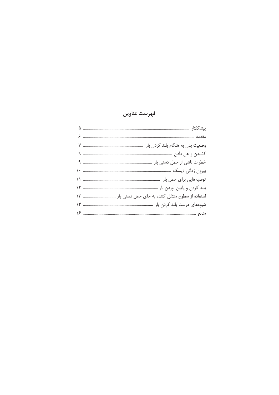# فهرست عناوين

| وضعیت بدن به هنگام بلند کردن بار سسسسسسسسسسسسسسسسسس ٧ |
|-------------------------------------------------------|
|                                                       |
|                                                       |
|                                                       |
|                                                       |
|                                                       |
| استفاده از سطوح منتقل کننده به جای حمل دستی بار  ١٣   |
|                                                       |
|                                                       |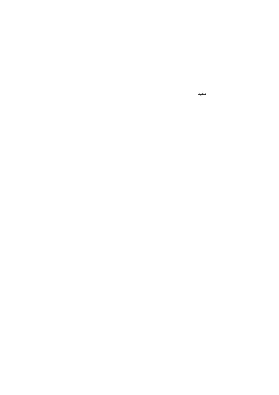سفيد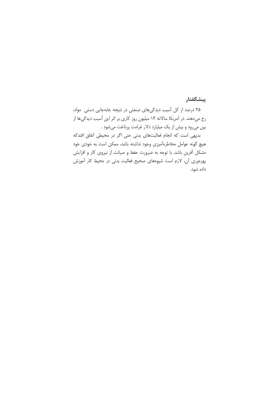### پیشگفتار

٢۵ درصد از كل آسيب ديدگى هاى صنعتى در نتيجه جابهجايى دستى مواد، رخ میدهند. در آمریکا سالانه ۱۲ میلیون روز کاری بر اثر این آسیب دیدگیها از بین میرود و بیش از یک میلیارد دلار غرامت پرداخت میشود .

بدیهی است که انجام فعالیتهای بدنی حتی اگر در محیطی اتفاق افتدکه هیچ گونه عوامل مخاطرهآمیزی وجود نداشته باشد، ممکن است به خودی خود مشکل آفرین باشد. با توجه به ضرورت حفظ و صیانت از نیروی کار و افزایش بهرهوری آن، لازم است شیوههای صحیح فعالیت بدنی در محیط کار آموزش داده شود.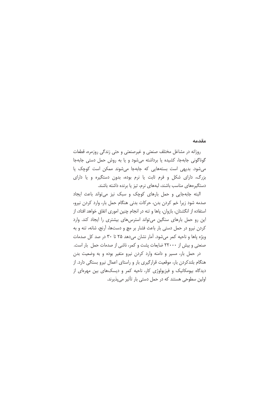#### مقدمه

روزانه در مشاغل مختلف صنعتی و غیرصنعتی و حتی زندگی روزمره، قطعات گوناگونی جابهجا، کشیده یا برداشته میشود و یا به روش حمل دستی جابهجا می شود. بدیهی است بستههایی که جابهجا می شوند ممکن است کوچک یا بزرگ، دارای شکل و فرم ثابت یا نرم بوده، بدون دستگیره و یا دارای دستگیرههای مناسب باشند، لبههای نرم، تیز یا برنده داشته باشند.

البته جابهجایی و حمل بارهای کوچک و سبک نیز می تواند باعث ایجاد صدمه شود زيرا خم كردن بدن، حركات بدنى هنگام حمل بار، وارد كردن نيرو، استفاده از انگشتان، بازوان، یاها و تنه در انجام چنین اموری اتفاق خواهد افتاد، از این رو حمل بارهای سنگین می تواند استرس های بیشتری را ایجاد کند. وارد كردن نيرو در حمل دستى بار باعث فشار بر مچ و دستها، آرنج، شانه، تنه و به ویژه پاها و ناحیه کمر میشود. آمار نشان میدهد ۲۵ تا ۳۰ در صد کل صدمات صنعتی و بیش از ۲۲۰۰۰ ضایعات پشت و کمر، ناشی از صدمات حمل بار است. در حمل بار، مسیر و دامنه وارد کردن نیرو متغیر بوده و به وضعیت بدن

هنگام بلندکردن بار، موقعیت قرارگیری بار و راستای اعمال نیرو بستگی دارد. از دیدگاه بیومکانیک و فیزیولوژی کار، ناحیه کمر و دیسکهای بین مهرهای از اولین سطوحی هستند که در حمل دستی بار تأثیر می پذیرند.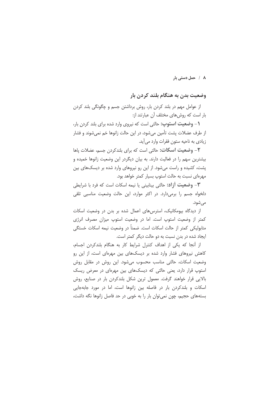### ۸ / حمل دستی بار

## وضعیت بدن به هنگام بلند کردن بار

از عوامل مهم در بلند کردن بار، روش برداشتن جسم و چگونگی بلند کردن بار است كه روشهاى مختلف آن عبارتند از:

**۱** – **وضعیت استوپ:** حالتی است که نیروی وارد شده برای بلند کردن بار، از طرف عضلات پشت تأمین می شود، در این حالت زانوها خم نمی شوند و فشار زیادی به ناحیه ستون فقرات وارد می آید.

**٢**– **وضعيت اسكات:** حالتى است كه براى بلندكردن جسم، عضلات پاها بیشترین سهم را در فعالیت دارند. به بیان دیگردر این وضعیت زانوها خمیده و پشت، کشیده و راست میشود. از این رو نیروهای وارد شده بر دیسکهای بین مهرهای نسبت به حالت استوپ بسیار کمتر خواهد بود.

**٣**– **وضعيت أزاد:** حالتي بينابيني يا نيمه اسكات است كه فرد با شرايطي دلخواه جسم را برمیدارد. در اکثر موارد، این حالت وضعیت مناسبی تلقی می شود.

از دیدگاه بیومکانیک، استرس های اعمال شده بر بدن در وضعیت اسکات كمتر از وضعيت استوب است. اما در وضعيت استوب ميزان مصرف انرژى متابولیکی کمتر از حالت اسکات است. ضمناً در وضعیت نیمه اسکات خستگی ايجاد شده در بدن نسبت به دو حالت ديگر كمتر است.

از آنجا که یکی از اهداف کنترل شرایط کار به هنگام بلندکردن اجسام، کاهش نیروهای فشار وارد شده بر دیسکهای بین مهرهای است، از این رو وضعیت اسکات، حالتی مناسب محسوب می شود. این روش در مقابل روش استوپ قرار دارد، یعنی حالتی که دیسکهای بین مهرهای در معرض ریسک بالایی قرار خواهند گرفت. معمول ترین شکل بلندکردن بار در صنایع، روش اسکات و بلندکردن بار در فاصله بین زانوها است، اما در مورد جابهجایی بستههای حجیم، چون نمی توان بار را به خوبی در حد فاصل زانوها نگه داشت،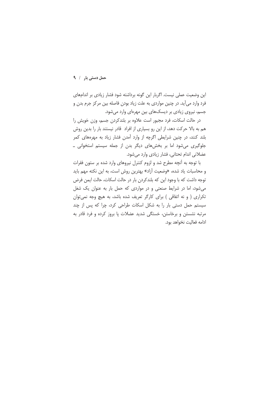این وضعیت عملی نیست. اگربار این گونه برداشته شود فشار زیادی بر اندامهای فرد وارد میآید. در چنین مواردی به علت زیاد بودن فاصله بین مرکز جرم بدن و جسم، نیروی زیادی بر دیسکهای بین مهرمای وارد می شود.

در حالت اسکات، فرد مجبور است علاوه بر بلندکردن جسم، وزن خویش را هم به بالا حرکت دهد، از این رو بسیاری از افراد قادر نیستند بار را بدین روش بلند کنند، در چنین شرایطی اگرچه از وارد آمدن فشار زیاد به مهرههای کمر جلوگیری می شود اما بر بخش های دیگر بدن از جمله سیستم استخوانی ـ عضلانی اندام تحتانی، فشار زیادی وارد میشود.

با توجه به آنچه مطرح شد و لزوم کنترل نیروهای وارد شده بر ستون فقرات و محاسبات یاد شده، «وضعیت آزاد» بهترین روش است، به این نکته مهم باید توجه داشت که با وجود این که بلندکردن بار در حالت اسکات، حالت ایمن فرض می شود، اما در شرایط صنعتی و در مواردی که حمل بار به عنوان یک شغل تکراری ( و نه اتفاقی ) برای کارگر تعریف شده باشد، به هیچ وجه نمی توان سیستم حمل دستی بار را به شکل اسکات طراحی کرد، چرا که پس از چند مرتبه نشستن و برخاستن، خستگی شدید عضلات یا بروز کرده و فرد قادر به ادامه فعالیت نخواهد بود.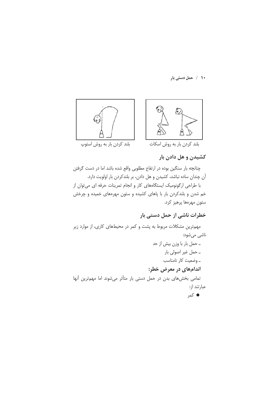١٠ / حمل دستي بار



# کشیدن و هل دادن بار

چنانچه بار سنگین بوده در ارتفاع مطلوبی واقع شده باشد اما در دست گرفتن آن چندان ساده نباشد، کشیدن و هل دادن، بر بلندکردن بار اولویت دارد. با طراحی ارگونومیک ایستگاههای کار و انجام تمرینات حرفه ای میتوان از خم شدن و بلندکردن بار با پاهای کشیده و ستون مهرههای خمیده و چرخش ستون مهرهها پرهيز كرد.

# خطرات ناشی از حمل دستی بار

مهمترین مشکلات مربوط به پشت و کمر در محیطهای کاری، از موارد زیر ناشي مي شود: ـ حمل بار با وزن بیش از حد ۔ حمل غیر اصولی بار ۔ وضعیت کار نامناسب اندامهای در معرض خطر: تمامی بخشهای بدن در حمل دستی بار متأثر می شوند اما مهم ترین آنها عبارتند از: ● کمر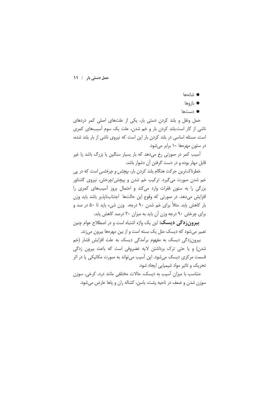- شانهها
- بازوها
- دستھا

حمل ونقل و بلند کردن دستی بار، یکی از علتهای اصلی کمر دردهای ناشی از کار است.بلند کردن بار و خم شدن، علت یک سوم آسیبهای کمری است. مسئله اساسی در بلند کردن بار این است که نیروی ناشی از بار بلند شده، در ستون مهرهها ۱۰ برابر می شود.

اسیب کمر در صورتی رخ میدهد که بار بسیار سنگین یا بزرگ باشد یا غیر قابل مهار بوده و در دست گرفتن آن دشوار باشد.

خطرناکترین حرکت هنگام بلند کردن بار، *پیچش و چرخشی* است که در پی خم شدن صورت می¢یرد. ترکیب خم شدن و پیچش/چرخش، نیروی گشتاور بزرگی را به ستون فقرات وارد می کند و احتمال بروز آسیبهای کمری را افزایش میدهد. در صورتی که وقوع این حالتها اجتنابناپذیر باشد باید وزن بار كاهش يابد. مثلاً براي خم شدن ٩٠ درجه، وزن شيء بايد تا ۵۰ در صد و برای چرخش ۹۰ درجه وزن آن باید به میزان ۲۰ درصد کاهش پابد.

**بیرونزدگی دیسک:** این یک واژه اشتباه است و در اصطلاح عوام چنین تعبیر می شود که دیسک مثل یک بسته است و از بین مهرهها بیرون می زند.

بیرون;دگی دیسک به مفهوم برآمدگی دیسک به علت افزایش فشار (خم شدن) و یا حتی ترک برداشتن لایه غضروفی است که باعث بیرون زدگی قسمت مرکزی دیسک میشود. این آسیب میتواند به صورت مکانیکی یا در اثر تحریک و تاثیر مواد شیمیایی ایجاد شود.

متناسب با میزان آسیب به دیسک، حالات مختلفی مانند درد، کرخی، سوزن سوزن شدن و ضعف در ناحیه پشت، باسن، کشاله ران و یاها عارض می شود.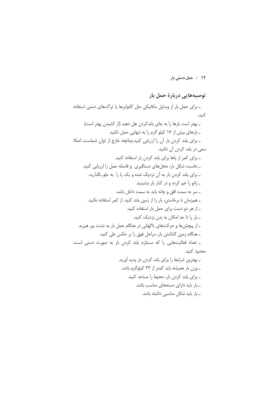١٢ / حمل دستي بار

## توصيههايي دربارة حمل بار

ـ برای حمل بار از وسایل مکانیکی مثل کانوایرها یا تراکهای دستی استفاده كنىد. ـ بهتر است بارها را به جاى بلندكردن هل دهيد (از كشيدن بهتر است) ـ بارهای بیش از ۱۷ کیلو گرم را به تنهایی حمل نکنید. ـ برای بلند کردن بار آن را ارزیابی کنید.چنانچه خارج از توان شماست، اصلا سعی در بلند کردن آن نکنید. ۔ برای کمر از یاها برای بلند کردن بار استفاده کنید. ـ نخست شکل بار، محل های دستگیری و فاصله حمل را ارزیابی کنید. ـ برای بلند کردن بار به آن نزدیک شده و یک یا را به جلو بگذارید. ـ زانو را خم کرده و در کنار بار بنشینید. ـ سر به سمت افق و چانه بايد به سمت داخل باشد. ـ همزمان با برخاستن، بار را از زمین بلند کنید. از کمر استفاده نکنید. ـ از هر دو دست برای حمل بار استفاده کنید. ـ بار را تا حد امکان به بدن نزدیک کنید. ـ از پیچشها و حرکتهای ناگهانی در هنگام حمل بار به شدت بپر هیزید. ـ هنگام زمین گذاشتن بار، مراحل فوق را بر عکس طی کنید. ـ تعداد فعالیتهایی را که مستلزم بلند کردن بار به صورت دستی است، محدود كنيد. - بهترین شرایط را برای بلند کردن بار پدید آورید. ـ وزن بار همیشه باید کمتر از ۲۳ کیلوگرم باشد. \_ برای بلند کردن بار، محیط را مساعد کنید. ـ بار باید دارای دستههای مناسب باشد. ۔ بار باید شکل مناسبی داشته باشد.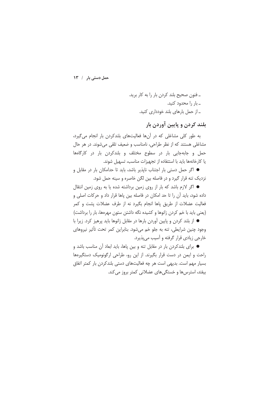ـ فنون صحيح بلند كردن بار را به كار بريد. ۔ بار را محدود کنید. ۔ از حمل بارهای بلند خودداری کنید.

بلند کردن و پایین آوردن بار

به طور کلی مشاغلی که در آنها فعالیتهای بلندکردن بار انجام می گیرد، مشاغلی هستند که از نظر طراحی، نامناسب و ضعیف تلقی میشوند. در هر حال حمل و جابهجایی بار در سطوح مختلف و بلندکردن بار در کارگاهها یا کارخانهها باید با استتفاده از تجهیزات مناسب، تسهیل شوند.

● اگر حمل دستی بار اجتناب ناپذیر باشد، باید تا حدامکان بار در مقابل و نزدیک تنه قرار گیرد و در فاصله بین لگن خاصره و سینه حمل شود.

● اگر لازم باشد که بار از روی زمین برداشته شده یا به روی زمین انتقال داده شود، باید آن را تا حد امکان در فاصله بین یاها قرار داد و حرکات اصلی و فعالیت عضلات از طریق یاها انجام بگیرد نه از طرف عضلات پشت و کمر (يعني بايد با خم كردن زانوها و كشيده نگه داشتن ستون مهرهها، بار را برداشت)

● از بلند کردن و پایین آوردن بارها در مقابل زانوها باید پرهیز کرد. زیرا با وجود چنین شرایطی، تنه به جلو خم می شود. بنابراین کمر تحت تأثیر نیروهای خارجي زيادي قرار گرفته و آسيب مي پذيرد.

● برای بلندکردن بار در مقابل تنه و بین پاها، باید ابعاد آن مناسب باشد و راحت و ایمن در دست قرار بگیرند. از این رو، طراحی ارگونومیک دستگیرهها بسیار مهم است. بدیهی است هر چه فعالیتهای دستی بلندکردن بار کمتر اتفاق بیفتد، استرس ها و خستگی های عضلانی کمتر بروز می کند.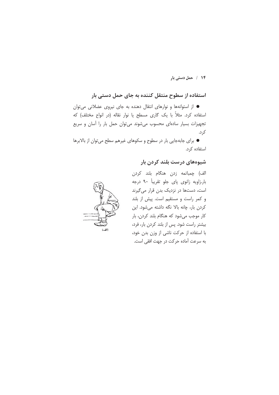#### ۱۴ / حمل دستی بار

# استفاده از سطوح منتقل کننده به جای حمل دستی بار

● از استوانهها و نوارهای انتقال دهنده به جای نیروی عضلانی میتوان استفاده کرد. مثلاً با یک گاری مسطح یا نوار نقاله (در انواع مختلف) که تجهیزات بسیار سادهای محسوب می شوند می توان حمل بار را آسان و سریع کرد.

● برای جابهجایی بار در سطوح و سکوهای غیرهم سطح می توان از بالابرها استفاده کرد.

### شیوههای درست بلند کردن بار



الف) چمباتمه زدن هنگام بلند کردن بار.زاویه زانوی پای جلو تقریباً ۹۰ درجه است، دستها در نزدیک بدن قرار میگیرند و کمر راست و مستقیم است. پیش از بلند كردن بار، چانه بالا نگه داشته مى شود. اين کار موجب میشود که هنگام بلند کردن، بار بیشتر راست شود. پس از بلند کردن بار، فرد، با استفاده از حرکت ناشی از وزن بدن خود، به سرعت آماده حركت در جهت افقى است.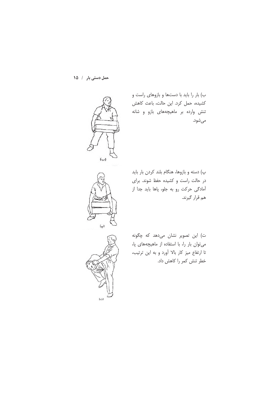

ب) بار را باید با دستها و بازوهای راست و كشيده، حمل كرد. اين حالت، باعث كاهش تنش وارده بر ماهیچههای بازو و شانه مىشود.

پ) دسته و بازوها، هنگام بلند کردن بار باید در حالت راست و کشیده حفظ شوند. برای آمادگی حرکت رو به جلو، پاها باید جدا از هم قرار گیرند.

 $(\varphi)$ 

ت) این تصویر نشان میدهد که چگونه می توان بار را، با استفاده از ماهیچههای پا، تا ارتفاع میز کار بالا آورد و به این ترتیب، خطر تنش کمر را کاهش داد.

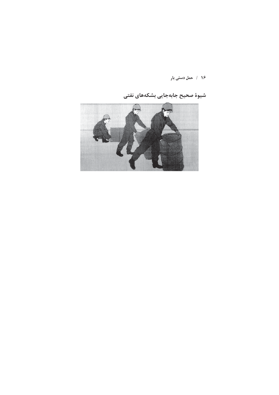۱۶ / حمل دستی بار

شیوهٔ صحیح جابهجایی بشکههای نفتی

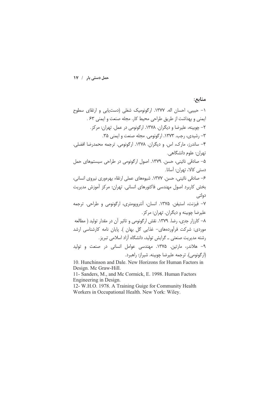منابع:

\n
$$
-
$$
 جبیبی، احسان ال*ه*. 177V1. ارگونوبیک شلی (دستیابی و ایمنی ۶۳.  
\nایمنی و بهداشت از طریق طارحی محیط کار. مجله صنعت و ایمنی ۶۳.  
\n $-$ چوبینه، علیرضا و دیگران. ۱۳۷۸. ارگونومی در عمل. تهران: مرکز.  
\n $-$  وبیش: ۱۳۷۸. اصول ارگونومی: ترجمه محمد(ضا افضلی.  
\n $-$  ساندرز، مارک، اس. و دیگران. ۱۳۷۸. ارول رگونومی در طراحی سیستههای حمل  
\n $-$  سادقی نائینی، حسن. ۱۳۷۹. شوومای میل ارتونوی در طراحی سیستههای حمل  
\n $-$  صادقی نائینی، حسن. ۱۳۷۹. انسان، آنتروپومتری، ارگونومی و طراحی. ترجمه  
\n4- میزنت، استیفن. ۱۳۷۵. انسان، آنتروپومتری، ارگونومی و طاحی. ترجمه  
\n4- کارزار جدی، رضا. ۱۳۷۵. توش ارگونومی و تولید  
\n $-$  کارزار جدی، نصلا، ۱۳۷۵. تاش ارگونومی و تولید  
\n $-$  کارزار جدی، نصادیت تهران: مهندسی عوامل انسانی در مقدار تولید  
\n $-$  کارزار جدی، زصلا، ۱۳۷۵. توش ارگونومی و تایلید  
\n $-$  کارزار جدی، زصلا، ۱۳۷۵. توش ارگونومی و تائیر آن نامه کارشناسی ارشد  
\n $-$  کارزار جدی، نصندی - گاریش توران. مجده  
\n $-$  کارزار جدی، نمید. ۱۳۷۵  
\n

11- Sanders, M., and Mc Cormick, E. 1998. Human Factors

Engineering in Design.<br>
12- W.H.O. 1978. A Training Guige for Community Health<br>
Workers in Occupational Health. New York: Wiley.